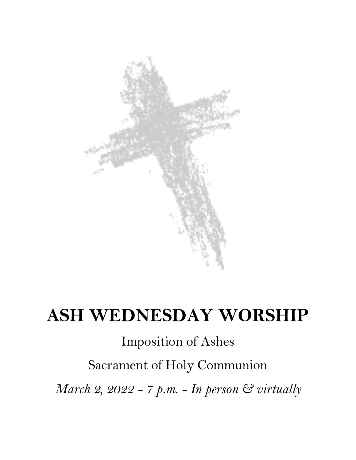

# **ASH WEDNESDAY WORSHIP**

# Imposition of Ashes

# Sacrament of Holy Communion

*March 2, 2022 - 7 p.m. - In person & virtually*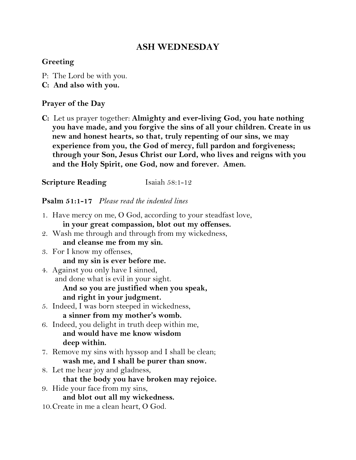# **ASH WEDNESDAY**

### **Greeting**

- P: The Lord be with you.
- **C: And also with you.**

#### **Prayer of the Day**

**C:** Let us prayer together: **Almighty and ever-living God, you hate nothing you have made, and you forgive the sins of all your children. Create in us new and honest hearts, so that, truly repenting of our sins, we may experience from you, the God of mercy, full pardon and forgiveness; through your Son, Jesus Christ our Lord, who lives and reigns with you and the Holy Spirit, one God, now and forever. Amen.**

**Scripture Reading**  Isaiah 58:1-12

#### **Psalm 51:1-17** *Please read the indented lines*

- 1. Have mercy on me, O God, according to your steadfast love, **in your great compassion, blot out my offenses.**
- 2. Wash me through and through from my wickedness, **and cleanse me from my sin.**
- 3. For I know my offenses, **and my sin is ever before me.**
- 4. Against you only have I sinned, and done what is evil in your sight. **And so you are justified when you speak, and right in your judgment.**
- 5. Indeed, I was born steeped in wickedness, **a sinner from my mother's womb.**
- 6. Indeed, you delight in truth deep within me, **and would have me know wisdom deep within.**
- 7. Remove my sins with hyssop and I shall be clean; **wash me, and I shall be purer than snow.**
- 8. Let me hear joy and gladness, **that the body you have broken may rejoice.**
- 9. Hide your face from my sins, **and blot out all my wickedness.**
- 10.Create in me a clean heart, O God.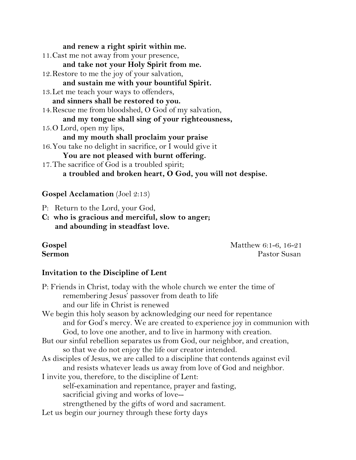**and renew a right spirit within me.**

11.Cast me not away from your presence, **and take not your Holy Spirit from me.** 12.Restore to me the joy of your salvation, **and sustain me with your bountiful Spirit.** 13.Let me teach your ways to offenders, **and sinners shall be restored to you.** 14.Rescue me from bloodshed, O God of my salvation, **and my tongue shall sing of your righteousness,**  15.O Lord, open my lips, **and my mouth shall proclaim your praise** 16.You take no delight in sacrifice, or I would give it **You are not pleased with burnt offering.** 17.The sacrifice of God is a troubled spirit; **a troubled and broken heart, O God, you will not despise.**

#### **Gospel Acclamation** (Joel 2:13)

P: Return to the Lord, your God,

**C: who is gracious and merciful, slow to anger; and abounding in steadfast love.** 

**Gospel** Matthew 6:1-6, 16-21 **Sermon Pastor Susan** 

# **Invitation to the Discipline of Lent**

P: Friends in Christ, today with the whole church we enter the time of remembering Jesus' passover from death to life and our life in Christ is renewed We begin this holy season by acknowledging our need for repentance and for God's mercy. We are created to experience joy in communion with God, to love one another, and to live in harmony with creation. But our sinful rebellion separates us from God, our neighbor, and creation, so that we do not enjoy the life our creator intended. As disciples of Jesus, we are called to a discipline that contends against evil and resists whatever leads us away from love of God and neighbor. I invite you, therefore, to the discipline of Lent: self-examination and repentance, prayer and fasting, sacrificial giving and works of love- strengthened by the gifts of word and sacrament. Let us begin our journey through these forty days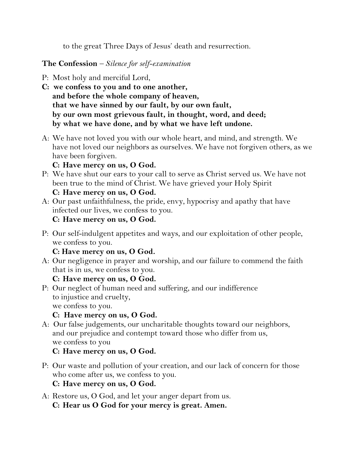to the great Three Days of Jesus' death and resurrection.

# **The Confession** *– Silence for self-examination*

- P: Most holy and merciful Lord,
- **C: we confess to you and to one another, and before the whole company of heaven, that we have sinned by our fault, by our own fault, by our own most grievous fault, in thought, word, and deed; by what we have done, and by what we have left undone.**
- A: We have not loved you with our whole heart, and mind, and strength. We have not loved our neighbors as ourselves. We have not forgiven others, as we have been forgiven.

# **C: Have mercy on us, O God.**

P: We have shut our ears to your call to serve as Christ served us. We have not been true to the mind of Christ. We have grieved your Holy Spirit

# **C: Have mercy on us, O God.**

A: Our past unfaithfulness, the pride, envy, hypocrisy and apathy that have infected our lives, we confess to you.

# **C: Have mercy on us, O God.**

P: Our self-indulgent appetites and ways, and our exploitation of other people, we confess to you.

# **C: Have mercy on us, O God.**

A: Our negligence in prayer and worship, and our failure to commend the faith that is in us, we confess to you.

# **C: Have mercy on us, O God.**

P: Our neglect of human need and suffering, and our indifference to injustice and cruelty, we confess to you.

**C: Have mercy on us, O God.**

A: Our false judgements, our uncharitable thoughts toward our neighbors, and our prejudice and contempt toward those who differ from us, we confess to you

# **C: Have mercy on us, O God.**

P: Our waste and pollution of your creation, and our lack of concern for those who come after us, we confess to you.

# **C: Have mercy on us, O God.**

A: Restore us, O God, and let your anger depart from us. **C: Hear us O God for your mercy is great. Amen.**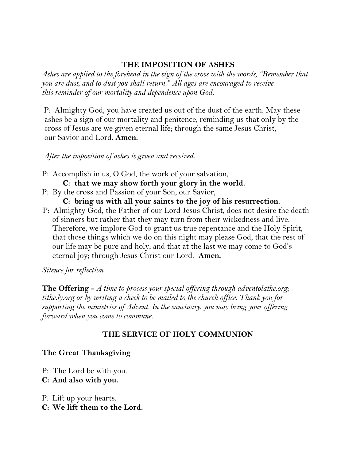### **THE IMPOSITION OF ASHES**

*Ashes are applied to the forehead in the sign of the cross with the words, "Remember that you are dust, and to dust you shall return." All ages are encouraged to receive this reminder of our mortality and dependence upon God.*

 P: Almighty God, you have created us out of the dust of the earth. May these ashes be a sign of our mortality and penitence, reminding us that only by the cross of Jesus are we given eternal life; through the same Jesus Christ, our Savior and Lord. **Amen.** 

*After the imposition of ashes is given and received.* 

P: Accomplish in us, O God, the work of your salvation,

**C: that we may show forth your glory in the world.**

P: By the cross and Passion of your Son, our Savior,

**C: bring us with all your saints to the joy of his resurrection.**

 P: Almighty God, the Father of our Lord Jesus Christ, does not desire the death of sinners but rather that they may turn from their wickedness and live. Therefore, we implore God to grant us true repentance and the Holy Spirit, that those things which we do on this night may please God, that the rest of our life may be pure and holy, and that at the last we may come to God's eternal joy; through Jesus Christ our Lord. **Amen.**

*Silence for reflection*

**The Offering -** *A time to process your special offering through adventolathe.org; tithe.ly.org or by writing a check to be mailed to the church office. Thank you for supporting the ministries of Advent. In the sanctuary, you may bring your offering forward when you come to commune.*

# **THE SERVICE OF HOLY COMMUNION**

# **The Great Thanksgiving**

- P: The Lord be with you.
- **C: And also with you.**
- P: Lift up your hearts. **C: We lift them to the Lord.**